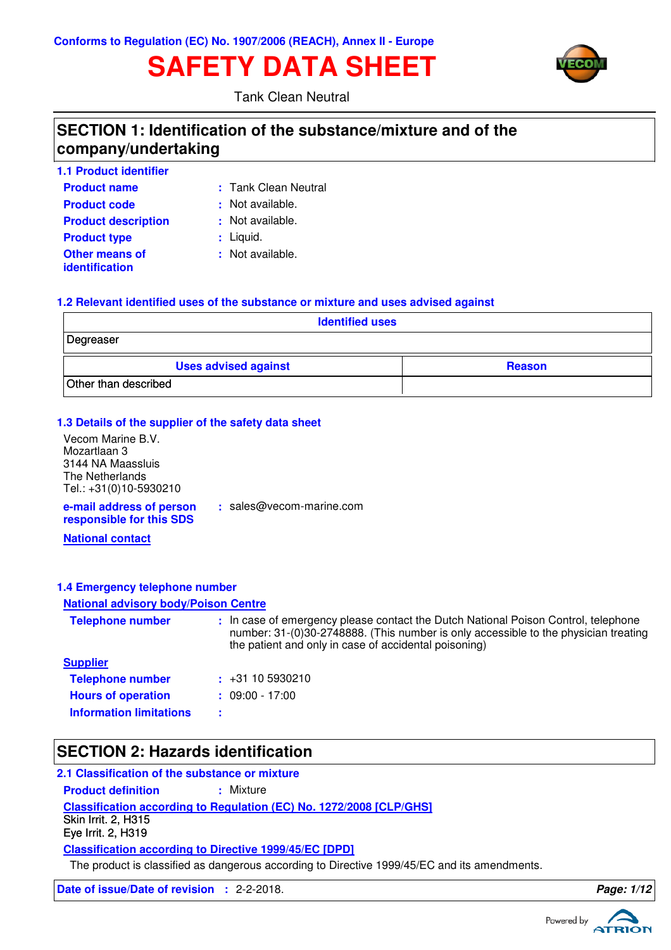# **SAFETY DATA SHEET**



Tank Clean Neutral

### **SECTION 1: Identification of the substance/mixture and of the company/undertaking**

| <b>1.1 Product identifier</b>           |                      |
|-----------------------------------------|----------------------|
| <b>Product name</b>                     | : Tank Clean Neutral |
| <b>Product code</b>                     | : Not available.     |
| <b>Product description</b>              | : Not available.     |
| <b>Product type</b>                     | $:$ Liquid.          |
| <b>Other means of</b><br>identification | : Not available.     |

#### **1.2 Relevant identified uses of the substance or mixture and uses advised against**

| <b>Identified uses</b>      |               |  |  |  |
|-----------------------------|---------------|--|--|--|
| Degreaser                   |               |  |  |  |
| <b>Uses advised against</b> | <b>Reason</b> |  |  |  |
| Other than described        |               |  |  |  |

#### **1.3 Details of the supplier of the safety data sheet**

| Vecom Marine B.V.                                    |           |
|------------------------------------------------------|-----------|
| Mozartlaan 3                                         |           |
| 3144 NA Maassluis                                    |           |
| The Netherlands                                      |           |
| Tel.: +31(0)10-5930210                               |           |
| e-mail address of person<br>responsible for this SDS | : sales@v |

 $vecom$ -marine.com

**National contact**

#### **1.4 Emergency telephone number**

### **National advisory body/Poison Centre**

| <b>Telephone number</b>        | : In case of emergency please contact the Dutch National Poison Control, telephone<br>number: 31-(0)30-2748888. (This number is only accessible to the physician treating<br>the patient and only in case of accidental poisoning) |
|--------------------------------|------------------------------------------------------------------------------------------------------------------------------------------------------------------------------------------------------------------------------------|
| <b>Supplier</b>                |                                                                                                                                                                                                                                    |
| <b>Telephone number</b>        | $\div$ +31 10 5930210                                                                                                                                                                                                              |
| <b>Hours of operation</b>      | $: 09:00 - 17:00$                                                                                                                                                                                                                  |
| <b>Information limitations</b> | ÷                                                                                                                                                                                                                                  |

### **SECTION 2: Hazards identification**

### **2.1 Classification of the substance or mixture**

**Classification according to Regulation (EC) No. 1272/2008 [CLP/GHS] Product definition : Mixture Classification according to Directive 1999/45/EC [DPD]** Skin Irrit. 2, H315 Eye Irrit. 2, H319

The product is classified as dangerous according to Directive 1999/45/EC and its amendments.

**Date of issue/Date of revision :** 2-2-2018. **Page: 1/12**

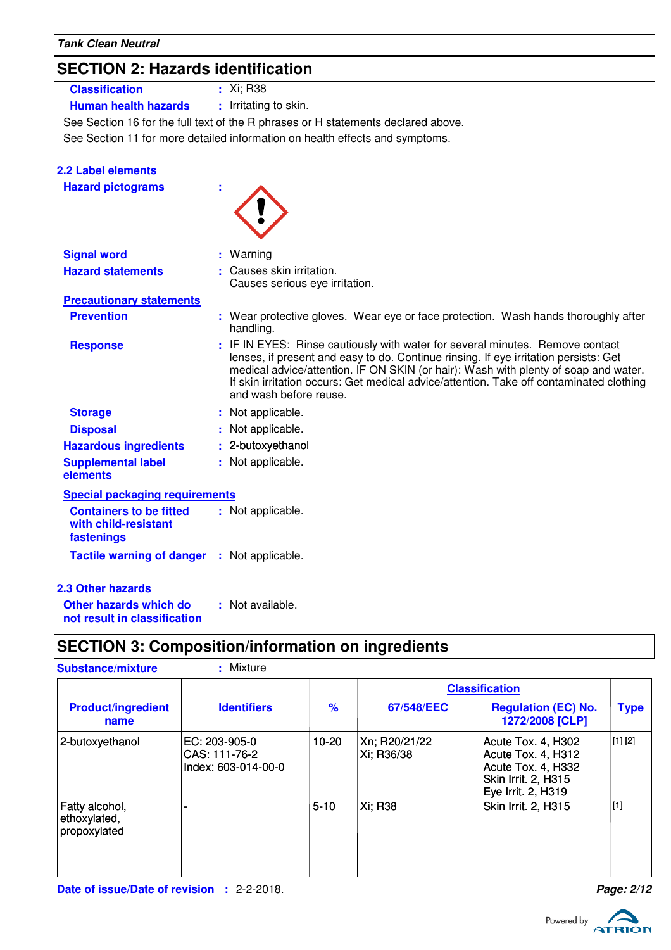# **SECTION 2: Hazards identification**

**Classification :** Xi; R38

**Human health hazards :** Irritating to skin.

See Section 16 for the full text of the R phrases or H statements declared above.

See Section 11 for more detailed information on health effects and symptoms.

| 2.2 Label elements<br><b>Hazard pictograms</b>                       |                                                                                                                                                                                                                                                                                                                                                                                   |
|----------------------------------------------------------------------|-----------------------------------------------------------------------------------------------------------------------------------------------------------------------------------------------------------------------------------------------------------------------------------------------------------------------------------------------------------------------------------|
| <b>Signal word</b>                                                   | Warning                                                                                                                                                                                                                                                                                                                                                                           |
| <b>Hazard statements</b>                                             | Causes skin irritation.<br>Causes serious eye irritation.                                                                                                                                                                                                                                                                                                                         |
| <b>Precautionary statements</b>                                      |                                                                                                                                                                                                                                                                                                                                                                                   |
| <b>Prevention</b>                                                    | : Wear protective gloves. Wear eye or face protection. Wash hands thoroughly after<br>handling.                                                                                                                                                                                                                                                                                   |
| <b>Response</b>                                                      | : IF IN EYES: Rinse cautiously with water for several minutes. Remove contact<br>lenses, if present and easy to do. Continue rinsing. If eye irritation persists: Get<br>medical advice/attention. IF ON SKIN (or hair): Wash with plenty of soap and water.<br>If skin irritation occurs: Get medical advice/attention. Take off contaminated clothing<br>and wash before reuse. |
| <b>Storage</b>                                                       | : Not applicable.                                                                                                                                                                                                                                                                                                                                                                 |
| <b>Disposal</b>                                                      | Not applicable.                                                                                                                                                                                                                                                                                                                                                                   |
| <b>Hazardous ingredients</b>                                         | : 2-butoxyethanol                                                                                                                                                                                                                                                                                                                                                                 |
| <b>Supplemental label</b><br>elements                                | : Not applicable.                                                                                                                                                                                                                                                                                                                                                                 |
| <b>Special packaging requirements</b>                                |                                                                                                                                                                                                                                                                                                                                                                                   |
| <b>Containers to be fitted</b><br>with child-resistant<br>fastenings | : Not applicable.                                                                                                                                                                                                                                                                                                                                                                 |
| <b>Tactile warning of danger : Not applicable.</b>                   |                                                                                                                                                                                                                                                                                                                                                                                   |
| <b>2.3 Other hazards</b>                                             |                                                                                                                                                                                                                                                                                                                                                                                   |
| Other hazards which do<br>not result in classification               | : Not available.                                                                                                                                                                                                                                                                                                                                                                  |

### **SECTION 3: Composition/information on ingredients**

| <b>Substance/mixture</b>                          | : Mixture                                             |               |                             |                                                                                                                    |             |
|---------------------------------------------------|-------------------------------------------------------|---------------|-----------------------------|--------------------------------------------------------------------------------------------------------------------|-------------|
|                                                   |                                                       |               | <b>Classification</b>       |                                                                                                                    |             |
| <b>Product/ingredient</b><br>name                 | <b>Identifiers</b>                                    | $\frac{9}{6}$ | 67/548/EEC                  | <b>Regulation (EC) No.</b><br>1272/2008 [CLP]                                                                      | <b>Type</b> |
| 2-butoxyethanol                                   | EC: 203-905-0<br>CAS: 111-76-2<br>Index: 603-014-00-0 | $10-20$       | Xn; R20/21/22<br>Xi; R36/38 | Acute Tox. 4, H302<br>Acute Tox. 4, H312<br>Acute Tox. 4, H332<br><b>Skin Irrit. 2, H315</b><br>Eye Irrit. 2, H319 | [1] [2]     |
| Fatty alcohol,<br>ethoxylated,<br>propoxylated    |                                                       | $5-10$        | Xi; R38                     | <b>Skin Irrit. 2, H315</b>                                                                                         | $[1]$       |
| <b>Date of issue/Date of revision : 2-2-2018.</b> |                                                       |               |                             |                                                                                                                    | Page: 2/12  |

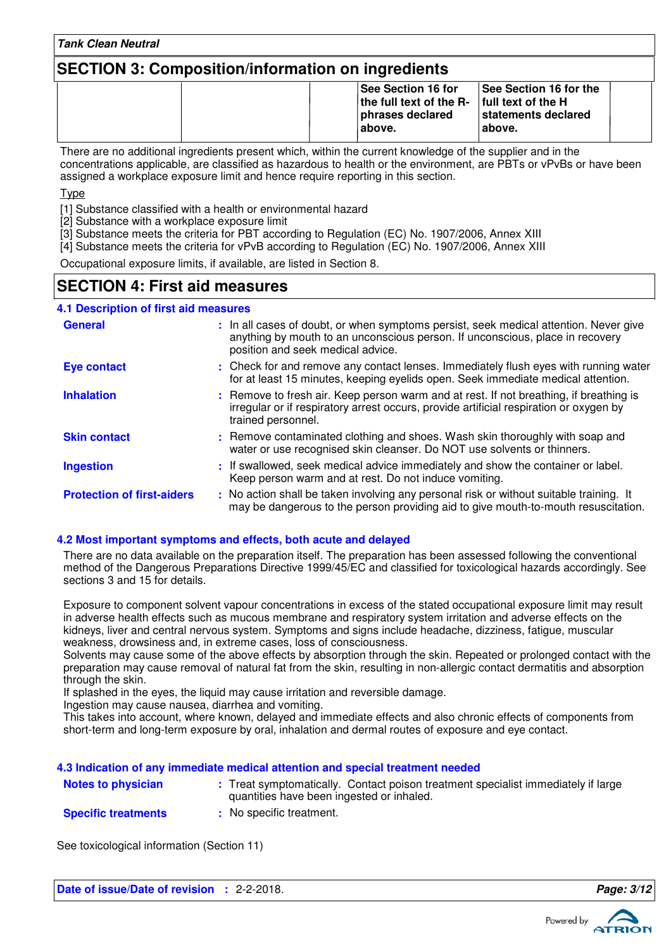### **SECTION 3: Composition/information on ingredients**

| <b>See Section 16 for</b><br><b>See Section 16 for the</b><br>the full text of the $R-$ full text of the H<br>statements declared<br>phrases declared<br>∣above.<br>above. |  |
|----------------------------------------------------------------------------------------------------------------------------------------------------------------------------|--|
|----------------------------------------------------------------------------------------------------------------------------------------------------------------------------|--|

There are no additional ingredients present which, within the current knowledge of the supplier and in the concentrations applicable, are classified as hazardous to health or the environment, are PBTs or vPvBs or have been assigned a workplace exposure limit and hence require reporting in this section.

Type

[1] Substance classified with a health or environmental hazard

[2] Substance with a workplace exposure limit

[3] Substance meets the criteria for PBT according to Regulation (EC) No. 1907/2006, Annex XIII

[4] Substance meets the criteria for vPvB according to Regulation (EC) No. 1907/2006, Annex XIII

Occupational exposure limits, if available, are listed in Section 8.

### **SECTION 4: First aid measures**

#### **4.1 Description of first aid measures**

| <b>General</b>                    | : In all cases of doubt, or when symptoms persist, seek medical attention. Never give<br>anything by mouth to an unconscious person. If unconscious, place in recovery<br>position and seek medical advice. |
|-----------------------------------|-------------------------------------------------------------------------------------------------------------------------------------------------------------------------------------------------------------|
| <b>Eye contact</b>                | : Check for and remove any contact lenses. Immediately flush eyes with running water<br>for at least 15 minutes, keeping eyelids open. Seek immediate medical attention.                                    |
| <b>Inhalation</b>                 | : Remove to fresh air. Keep person warm and at rest. If not breathing, if breathing is<br>irregular or if respiratory arrest occurs, provide artificial respiration or oxygen by<br>trained personnel.      |
| <b>Skin contact</b>               | : Remove contaminated clothing and shoes. Wash skin thoroughly with soap and<br>water or use recognised skin cleanser. Do NOT use solvents or thinners.                                                     |
| <b>Ingestion</b>                  | : If swallowed, seek medical advice immediately and show the container or label.<br>Keep person warm and at rest. Do not induce vomiting.                                                                   |
| <b>Protection of first-aiders</b> | : No action shall be taken involving any personal risk or without suitable training. It<br>may be dangerous to the person providing aid to give mouth-to-mouth resuscitation.                               |

#### **4.2 Most important symptoms and effects, both acute and delayed**

There are no data available on the preparation itself. The preparation has been assessed following the conventional method of the Dangerous Preparations Directive 1999/45/EC and classified for toxicological hazards accordingly. See sections 3 and 15 for details.

Exposure to component solvent vapour concentrations in excess of the stated occupational exposure limit may result in adverse health effects such as mucous membrane and respiratory system irritation and adverse effects on the kidneys, liver and central nervous system. Symptoms and signs include headache, dizziness, fatigue, muscular weakness, drowsiness and, in extreme cases, loss of consciousness.

Solvents may cause some of the above effects by absorption through the skin. Repeated or prolonged contact with the preparation may cause removal of natural fat from the skin, resulting in non-allergic contact dermatitis and absorption through the skin.

If splashed in the eyes, the liquid may cause irritation and reversible damage.

Ingestion may cause nausea, diarrhea and vomiting.

This takes into account, where known, delayed and immediate effects and also chronic effects of components from short-term and long-term exposure by oral, inhalation and dermal routes of exposure and eye contact.

#### **4.3 Indication of any immediate medical attention and special treatment needed**

| <b>Notes to physician</b> | : Treat symptomatically. Contact poison treatment specialist immediately if large<br>quantities have been ingested or inhaled. |
|---------------------------|--------------------------------------------------------------------------------------------------------------------------------|
|                           |                                                                                                                                |

**Specific treatments :** No specific treatment.

See toxicological information (Section 11)

**Date of issue/Date of revision :** 2-2-2018. **Page: 3/12**



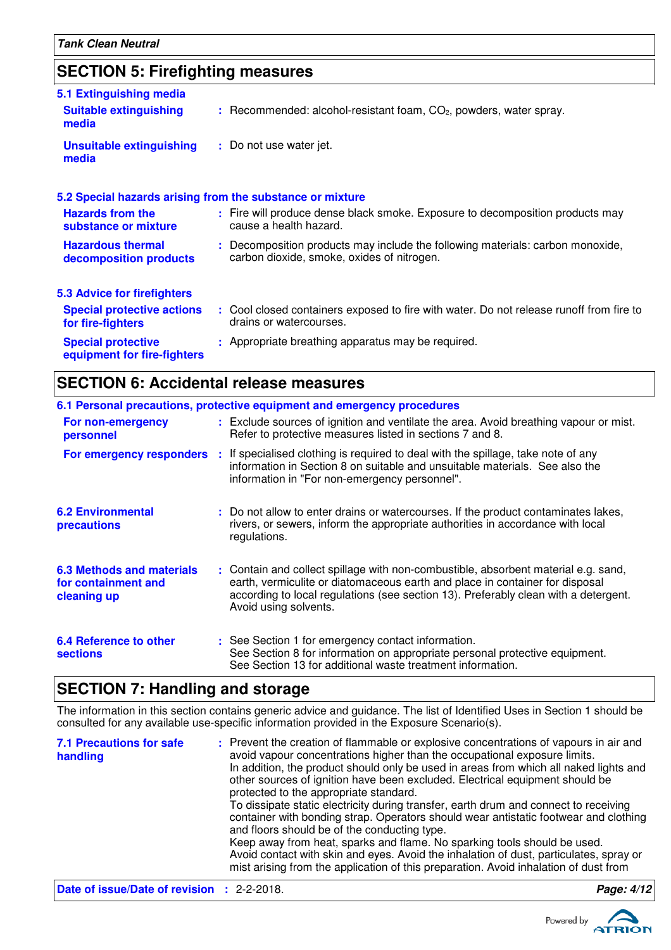# **SECTION 5: Firefighting measures**

| 5.1 Extinguishing media                                   |                                                                                                                              |
|-----------------------------------------------------------|------------------------------------------------------------------------------------------------------------------------------|
| <b>Suitable extinguishing</b><br>media                    | $:$ Recommended: alcohol-resistant foam, $CO2$ , powders, water spray.                                                       |
| <b>Unsuitable extinguishing</b><br>media                  | : Do not use water jet.                                                                                                      |
| 5.2 Special hazards arising from the substance or mixture |                                                                                                                              |
| <b>Hazards from the</b><br>substance or mixture           | : Fire will produce dense black smoke. Exposure to decomposition products may<br>cause a health hazard.                      |
| <b>Hazardous thermal</b><br>decomposition products        | : Decomposition products may include the following materials: carbon monoxide,<br>carbon dioxide, smoke, oxides of nitrogen. |
| <b>5.3 Advice for firefighters</b>                        |                                                                                                                              |
| <b>Special protective actions</b><br>for fire-fighters    | : Cool closed containers exposed to fire with water. Do not release runoff from fire to<br>drains or watercourses.           |
| <b>Special protective</b><br>equipment for fire-fighters  | : Appropriate breathing apparatus may be required.                                                                           |

### **SECTION 6: Accidental release measures**

|                                                                        | 6.1 Personal precautions, protective equipment and emergency procedures                                                                                                                                                                                                            |
|------------------------------------------------------------------------|------------------------------------------------------------------------------------------------------------------------------------------------------------------------------------------------------------------------------------------------------------------------------------|
| For non-emergency<br>personnel                                         | : Exclude sources of ignition and ventilate the area. Avoid breathing vapour or mist.<br>Refer to protective measures listed in sections 7 and 8.                                                                                                                                  |
| For emergency responders                                               | : If specialised clothing is required to deal with the spillage, take note of any<br>information in Section 8 on suitable and unsuitable materials. See also the<br>information in "For non-emergency personnel".                                                                  |
| <b>6.2 Environmental</b><br>precautions                                | : Do not allow to enter drains or watercourses. If the product contaminates lakes,<br>rivers, or sewers, inform the appropriate authorities in accordance with local<br>regulations.                                                                                               |
| <b>6.3 Methods and materials</b><br>for containment and<br>cleaning up | : Contain and collect spillage with non-combustible, absorbent material e.g. sand,<br>earth, vermiculite or diatomaceous earth and place in container for disposal<br>according to local regulations (see section 13). Preferably clean with a detergent.<br>Avoid using solvents. |
| <b>6.4 Reference to other</b><br><b>sections</b>                       | : See Section 1 for emergency contact information.<br>See Section 8 for information on appropriate personal protective equipment.<br>See Section 13 for additional waste treatment information.                                                                                    |

### **SECTION 7: Handling and storage**

The information in this section contains generic advice and guidance. The list of Identified Uses in Section 1 should be consulted for any available use-specific information provided in the Exposure Scenario(s).

| <b>7.1 Precautions for safe</b><br>handling       | : Prevent the creation of flammable or explosive concentrations of vapours in air and<br>avoid vapour concentrations higher than the occupational exposure limits.<br>In addition, the product should only be used in areas from which all naked lights and<br>other sources of ignition have been excluded. Electrical equipment should be<br>protected to the appropriate standard.<br>To dissipate static electricity during transfer, earth drum and connect to receiving<br>container with bonding strap. Operators should wear antistatic footwear and clothing<br>and floors should be of the conducting type.<br>Keep away from heat, sparks and flame. No sparking tools should be used.<br>Avoid contact with skin and eyes. Avoid the inhalation of dust, particulates, spray or<br>mist arising from the application of this preparation. Avoid inhalation of dust from |            |
|---------------------------------------------------|-------------------------------------------------------------------------------------------------------------------------------------------------------------------------------------------------------------------------------------------------------------------------------------------------------------------------------------------------------------------------------------------------------------------------------------------------------------------------------------------------------------------------------------------------------------------------------------------------------------------------------------------------------------------------------------------------------------------------------------------------------------------------------------------------------------------------------------------------------------------------------------|------------|
| <b>Date of issue/Date of revision : 2-2-2018.</b> |                                                                                                                                                                                                                                                                                                                                                                                                                                                                                                                                                                                                                                                                                                                                                                                                                                                                                     | Page: 4/12 |

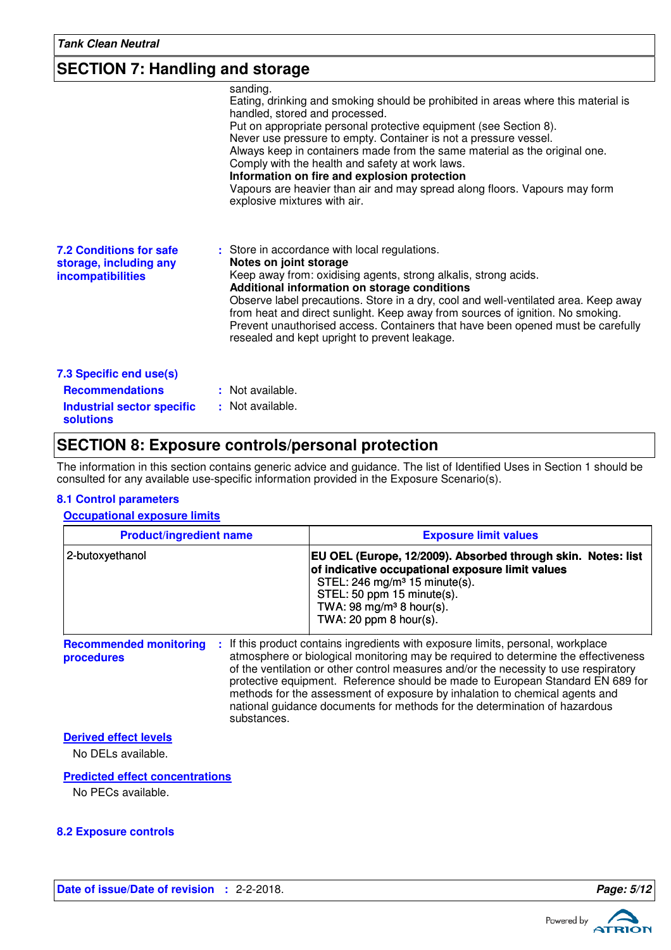### **SECTION 7: Handling and storage**

|                                                                                                            | sanding.<br>Eating, drinking and smoking should be prohibited in areas where this material is<br>handled, stored and processed.<br>Put on appropriate personal protective equipment (see Section 8).<br>Never use pressure to empty. Container is not a pressure vessel.<br>Always keep in containers made from the same material as the original one.<br>Comply with the health and safety at work laws.<br>Information on fire and explosion protection<br>Vapours are heavier than air and may spread along floors. Vapours may form<br>explosive mixtures with air. |
|------------------------------------------------------------------------------------------------------------|-------------------------------------------------------------------------------------------------------------------------------------------------------------------------------------------------------------------------------------------------------------------------------------------------------------------------------------------------------------------------------------------------------------------------------------------------------------------------------------------------------------------------------------------------------------------------|
| <b>7.2 Conditions for safe</b><br>storage, including any<br><b>incompatibilities</b>                       | : Store in accordance with local regulations.<br>Notes on joint storage<br>Keep away from: oxidising agents, strong alkalis, strong acids.<br>Additional information on storage conditions<br>Observe label precautions. Store in a dry, cool and well-ventilated area. Keep away<br>from heat and direct sunlight. Keep away from sources of ignition. No smoking.<br>Prevent unauthorised access. Containers that have been opened must be carefully<br>resealed and kept upright to prevent leakage.                                                                 |
| 7.3 Specific end use(s)<br><b>Recommendations</b><br><b>Industrial sector specific</b><br><b>solutions</b> | : Not available.<br>: Not available.                                                                                                                                                                                                                                                                                                                                                                                                                                                                                                                                    |

### **SECTION 8: Exposure controls/personal protection**

The information in this section contains generic advice and guidance. The list of Identified Uses in Section 1 should be consulted for any available use-specific information provided in the Exposure Scenario(s).

#### **8.1 Control parameters**

### **Occupational exposure limits**

| <b>Product/ingredient name</b>                             | <b>Exposure limit values</b>                                                                                                                                                                                                                                                                                                                                                                                                                                                                                  |  |
|------------------------------------------------------------|---------------------------------------------------------------------------------------------------------------------------------------------------------------------------------------------------------------------------------------------------------------------------------------------------------------------------------------------------------------------------------------------------------------------------------------------------------------------------------------------------------------|--|
| 2-butoxyethanol                                            | EU OEL (Europe, 12/2009). Absorbed through skin. Notes: list<br>of indicative occupational exposure limit values<br>STEL: 246 mg/m <sup>3</sup> 15 minute(s).<br>STEL: 50 ppm 15 minute(s).<br>TWA: 98 mg/m <sup>3</sup> 8 hour(s).<br>TWA: 20 ppm $8$ hour(s).                                                                                                                                                                                                                                               |  |
| <b>Recommended monitoring</b><br>procedures<br>substances. | : If this product contains ingredients with exposure limits, personal, workplace<br>atmosphere or biological monitoring may be required to determine the effectiveness<br>of the ventilation or other control measures and/or the necessity to use respiratory<br>protective equipment. Reference should be made to European Standard EN 689 for<br>methods for the assessment of exposure by inhalation to chemical agents and<br>national guidance documents for methods for the determination of hazardous |  |

#### **Derived effect levels**

No DELs available.

#### **Predicted effect concentrations**

No PECs available.

#### **8.2 Exposure controls**



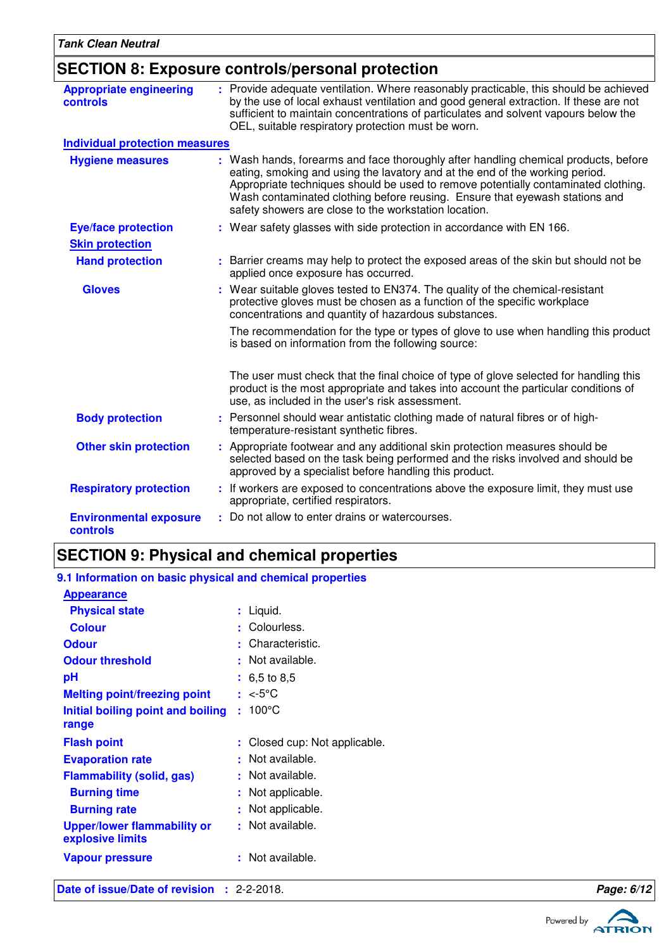### **SECTION 8: Exposure controls/personal protection**

| <b>Appropriate engineering</b><br>controls | : Provide adequate ventilation. Where reasonably practicable, this should be achieved<br>by the use of local exhaust ventilation and good general extraction. If these are not<br>sufficient to maintain concentrations of particulates and solvent vapours below the<br>OEL, suitable respiratory protection must be worn.                                                                       |
|--------------------------------------------|---------------------------------------------------------------------------------------------------------------------------------------------------------------------------------------------------------------------------------------------------------------------------------------------------------------------------------------------------------------------------------------------------|
| <b>Individual protection measures</b>      |                                                                                                                                                                                                                                                                                                                                                                                                   |
| <b>Hygiene measures</b>                    | : Wash hands, forearms and face thoroughly after handling chemical products, before<br>eating, smoking and using the lavatory and at the end of the working period.<br>Appropriate techniques should be used to remove potentially contaminated clothing.<br>Wash contaminated clothing before reusing. Ensure that eyewash stations and<br>safety showers are close to the workstation location. |
| <b>Eye/face protection</b>                 | : Wear safety glasses with side protection in accordance with EN 166.                                                                                                                                                                                                                                                                                                                             |
| <b>Skin protection</b>                     |                                                                                                                                                                                                                                                                                                                                                                                                   |
| <b>Hand protection</b>                     | : Barrier creams may help to protect the exposed areas of the skin but should not be<br>applied once exposure has occurred.                                                                                                                                                                                                                                                                       |
| <b>Gloves</b>                              | : Wear suitable gloves tested to EN374. The quality of the chemical-resistant<br>protective gloves must be chosen as a function of the specific workplace<br>concentrations and quantity of hazardous substances.                                                                                                                                                                                 |
|                                            | The recommendation for the type or types of glove to use when handling this product<br>is based on information from the following source:                                                                                                                                                                                                                                                         |
|                                            | The user must check that the final choice of type of glove selected for handling this<br>product is the most appropriate and takes into account the particular conditions of<br>use, as included in the user's risk assessment.                                                                                                                                                                   |
| <b>Body protection</b>                     | : Personnel should wear antistatic clothing made of natural fibres or of high-<br>temperature-resistant synthetic fibres.                                                                                                                                                                                                                                                                         |
| <b>Other skin protection</b>               | : Appropriate footwear and any additional skin protection measures should be<br>selected based on the task being performed and the risks involved and should be<br>approved by a specialist before handling this product.                                                                                                                                                                         |
| <b>Respiratory protection</b>              | : If workers are exposed to concentrations above the exposure limit, they must use<br>appropriate, certified respirators.                                                                                                                                                                                                                                                                         |
| <b>Environmental exposure</b><br>controls  | : Do not allow to enter drains or watercourses.                                                                                                                                                                                                                                                                                                                                                   |

### **SECTION 9: Physical and chemical properties**

#### **Initial boiling point and boiling : 100°C Physical state Melting point/freezing point range Vapour pressure** Liquid. **:** <-5°C **:** Not available. **: Odour** : Characteristic. **pH Colour** Colourless. **Evaporation rate Flash point Closed cup: Not applicable.** Not available. **:** 6,5 to 8,5 **: Odour threshold Upper/lower flammability or explosive limits** : Not available. : Not available. **9.1 Information on basic physical and chemical properties Appearance Burning time** : Not applicable. **Burning rate contract to the CO contract is Not applicable. Flammability (solid, gas) :** Not available.

**Date of issue/Date of revision :** 2-2-2018. **Page: 6/12 Page: 6/12** 

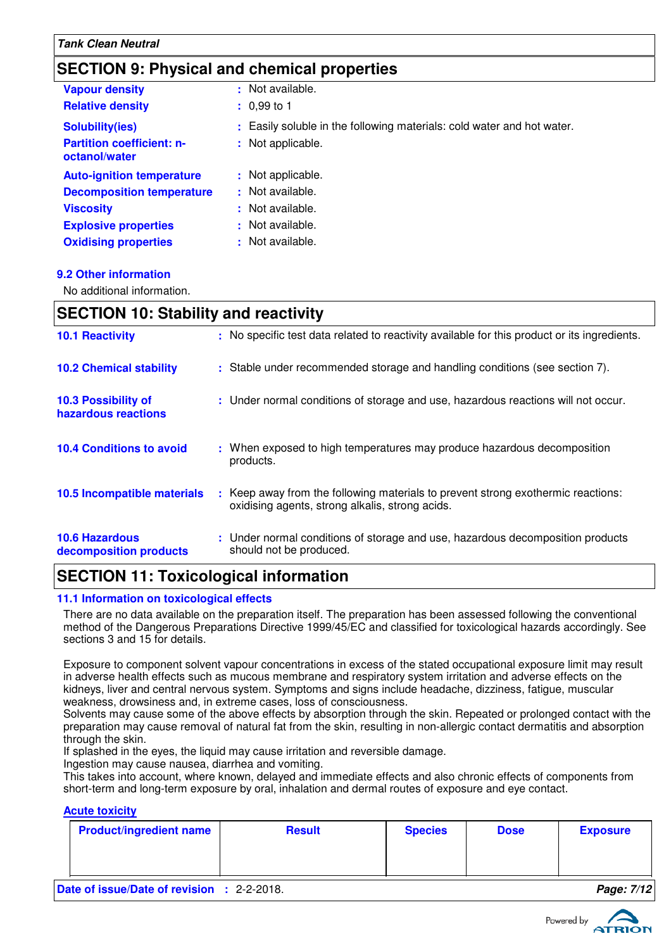### **SECTION 9: Physical and chemical properties**

| <b>Vapour density</b>                             | : Not available.                                                       |
|---------------------------------------------------|------------------------------------------------------------------------|
| <b>Relative density</b>                           | $: 0.99$ to 1                                                          |
| <b>Solubility(ies)</b>                            | : Easily soluble in the following materials: cold water and hot water. |
| <b>Partition coefficient: n-</b><br>octanol/water | : Not applicable.                                                      |
| <b>Auto-ignition temperature</b>                  | : Not applicable.                                                      |
| <b>Decomposition temperature</b>                  | : Not available.                                                       |
| <b>Viscosity</b>                                  | : Not available.                                                       |
| <b>Explosive properties</b>                       | : Not available.                                                       |
| <b>Oxidising properties</b>                       | : Not available.                                                       |

#### **9.2 Other information**

No additional information.

### **SECTION 10: Stability and reactivity**

| <b>10.1 Reactivity</b>                            | : No specific test data related to reactivity available for this product or its ingredients.                                            |
|---------------------------------------------------|-----------------------------------------------------------------------------------------------------------------------------------------|
| <b>10.2 Chemical stability</b>                    | : Stable under recommended storage and handling conditions (see section 7).                                                             |
| <b>10.3 Possibility of</b><br>hazardous reactions | : Under normal conditions of storage and use, hazardous reactions will not occur.                                                       |
| <b>10.4 Conditions to avoid</b>                   | : When exposed to high temperatures may produce hazardous decomposition<br>products.                                                    |
| 10.5 Incompatible materials                       | Keep away from the following materials to prevent strong exothermic reactions:<br>÷.<br>oxidising agents, strong alkalis, strong acids. |
| <b>10.6 Hazardous</b><br>decomposition products   | : Under normal conditions of storage and use, hazardous decomposition products<br>should not be produced.                               |

### **SECTION 11: Toxicological information**

#### **11.1 Information on toxicological effects**

There are no data available on the preparation itself. The preparation has been assessed following the conventional method of the Dangerous Preparations Directive 1999/45/EC and classified for toxicological hazards accordingly. See sections 3 and 15 for details.

Exposure to component solvent vapour concentrations in excess of the stated occupational exposure limit may result in adverse health effects such as mucous membrane and respiratory system irritation and adverse effects on the kidneys, liver and central nervous system. Symptoms and signs include headache, dizziness, fatigue, muscular weakness, drowsiness and, in extreme cases, loss of consciousness.

Solvents may cause some of the above effects by absorption through the skin. Repeated or prolonged contact with the preparation may cause removal of natural fat from the skin, resulting in non-allergic contact dermatitis and absorption through the skin.

If splashed in the eyes, the liquid may cause irritation and reversible damage.

Ingestion may cause nausea, diarrhea and vomiting.

This takes into account, where known, delayed and immediate effects and also chronic effects of components from short-term and long-term exposure by oral, inhalation and dermal routes of exposure and eye contact.

### **Acute toxicity**

| <b>Product/ingredient name</b> | <b>Result</b>                         | <b>Species</b> | <b>Dose</b> | <b>Exposure</b>                 |
|--------------------------------|---------------------------------------|----------------|-------------|---------------------------------|
|                                |                                       |                |             |                                 |
|                                |                                       |                |             |                                 |
| _____<br>.                     | $\begin{array}{c} \hline \end{array}$ |                |             | -44<br>$\overline{\phantom{0}}$ |

**Date of issue/Date of revision :** 2-2-2018. **Page: 7/12**

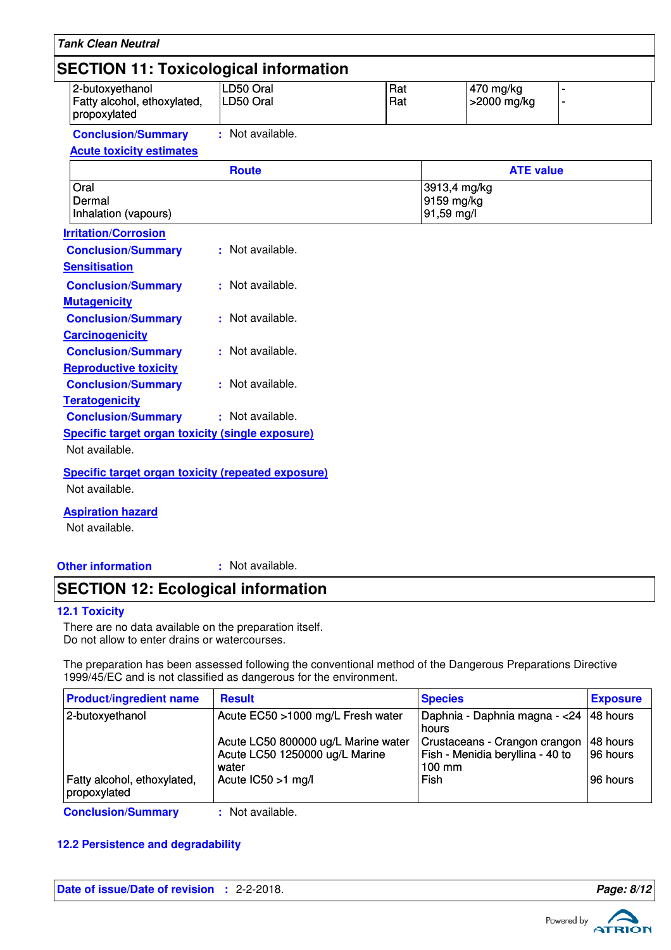| <b>SECTION 11: Toxicological information</b><br>2-butoxyethanol | LD50 Oral        | Rat | 470 mg/kg                                |                  |
|-----------------------------------------------------------------|------------------|-----|------------------------------------------|------------------|
| Fatty alcohol, ethoxylated,<br>propoxylated                     | LD50 Oral        | Rat | >2000 mg/kg                              |                  |
| <b>Conclusion/Summary</b>                                       | : Not available. |     |                                          |                  |
| <b>Acute toxicity estimates</b>                                 |                  |     |                                          |                  |
|                                                                 | <b>Route</b>     |     |                                          | <b>ATE value</b> |
| Oral<br>Dermal<br>Inhalation (vapours)                          |                  |     | 3913,4 mg/kg<br>9159 mg/kg<br>91,59 mg/l |                  |
| <b>Irritation/Corrosion</b>                                     |                  |     |                                          |                  |
| <b>Conclusion/Summary</b>                                       | : Not available. |     |                                          |                  |
| <b>Sensitisation</b>                                            |                  |     |                                          |                  |
| <b>Conclusion/Summary</b>                                       | : Not available. |     |                                          |                  |
| <b>Mutagenicity</b>                                             |                  |     |                                          |                  |
| <b>Conclusion/Summary</b>                                       | : Not available. |     |                                          |                  |
| <b>Carcinogenicity</b>                                          |                  |     |                                          |                  |
| <b>Conclusion/Summary</b>                                       | : Not available. |     |                                          |                  |
| <b>Reproductive toxicity</b>                                    |                  |     |                                          |                  |
| <b>Conclusion/Summary</b>                                       | : Not available. |     |                                          |                  |
| <b>Teratogenicity</b>                                           |                  |     |                                          |                  |
| <b>Conclusion/Summary</b>                                       | : Not available. |     |                                          |                  |
| <b>Specific target organ toxicity (single exposure)</b>         |                  |     |                                          |                  |
| Not available.                                                  |                  |     |                                          |                  |

Not available.

**Other information :**

: Not available.

### **SECTION 12: Ecological information**

### **12.1 Toxicity**

There are no data available on the preparation itself. Do not allow to enter drains or watercourses.

The preparation has been assessed following the conventional method of the Dangerous Preparations Directive 1999/45/EC and is not classified as dangerous for the environment.

| <b>Product/ingredient name</b>              | <b>Result</b>                                                                  | <b>Species</b>                                                                        | <b>Exposure</b>      |
|---------------------------------------------|--------------------------------------------------------------------------------|---------------------------------------------------------------------------------------|----------------------|
| 2-butoxyethanol                             | Acute EC50 >1000 mg/L Fresh water                                              | Daphnia - Daphnia magna - < 24 48 hours<br>hours                                      |                      |
|                                             | Acute LC50 800000 ug/L Marine water<br>Acute LC50 1250000 ug/L Marine<br>water | Crustaceans - Crangon crangon<br>Fish - Menidia beryllina - 40 to<br>$100 \text{ mm}$ | 48 hours<br>96 hours |
| Fatty alcohol, ethoxylated,<br>propoxylated | Acute $IC50 > 1$ mg/l                                                          | Fish                                                                                  | 96 hours             |
| $\sim$ $\sim$ $\sim$ $\sim$                 | .                                                                              |                                                                                       |                      |

**Conclusion/Summary :** Not available.

### **12.2 Persistence and degradability**

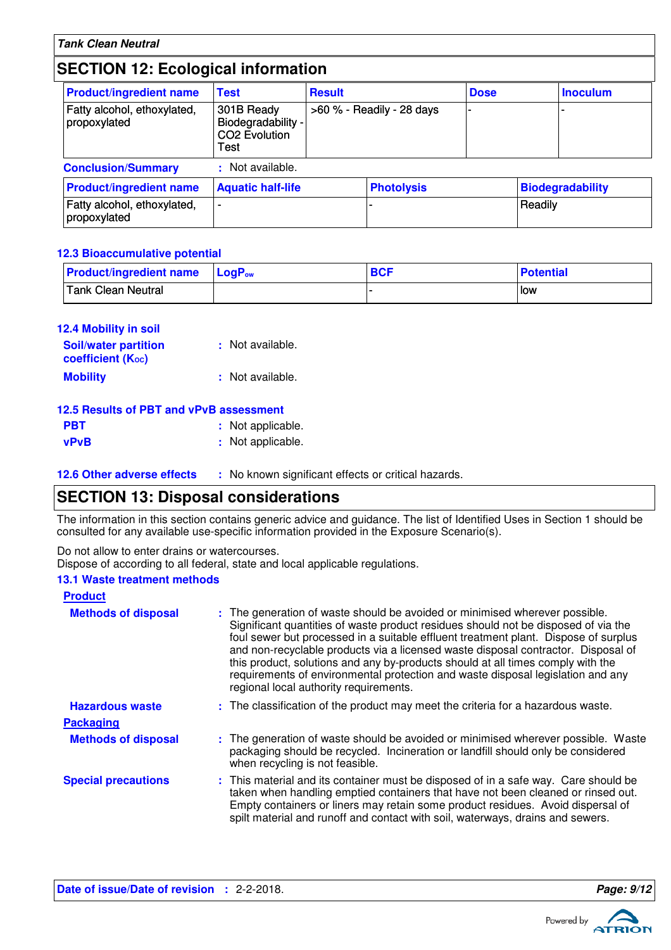### **SECTION 12: Ecological information**

| <b>Product/ingredient name</b>              | <b>Test</b>                                                           | <b>Result</b> |                           | <b>Dose</b> |         | <b>Inoculum</b>         |
|---------------------------------------------|-----------------------------------------------------------------------|---------------|---------------------------|-------------|---------|-------------------------|
| Fatty alcohol, ethoxylated,<br>propoxylated | 301B Ready<br>Biodegradability -<br>CO <sub>2</sub> Evolution<br>Test |               | >60 % - Readily - 28 days |             |         |                         |
| <b>Conclusion/Summary</b>                   | : Not available.                                                      |               |                           |             |         |                         |
| <b>Product/ingredient name</b>              | <b>Aquatic half-life</b>                                              |               | <b>Photolysis</b>         |             |         | <b>Biodegradability</b> |
| Fatty alcohol, ethoxylated,<br>propoxylated | -                                                                     |               |                           |             | Readily |                         |

#### **12.3 Bioaccumulative potential**

| <b>Product/ingredient name</b>  | <b>LogP</b> ow | <b>BCF</b> | <b>Potential</b> |
|---------------------------------|----------------|------------|------------------|
| <sup>1</sup> Tank Clean Neutral |                |            | low              |

| <b>12.4 Mobility in soil</b> |                  |
|------------------------------|------------------|
| <b>Soil/water partition</b>  | : Not available. |
| coefficient (Koc)            |                  |
| <b>Mobility</b>              | : Not available. |

# **12.5 Results of PBT and vPvB assessment**

| <b>PBT</b>  | : Not applicable. |
|-------------|-------------------|
| <b>vPvB</b> | : Not applicable. |

**12.6 Other adverse effects** : No known significant effects or critical hazards.

### **SECTION 13: Disposal considerations**

The information in this section contains generic advice and guidance. The list of Identified Uses in Section 1 should be consulted for any available use-specific information provided in the Exposure Scenario(s).

Do not allow to enter drains or watercourses.

Dispose of according to all federal, state and local applicable regulations.

#### **13.1 Waste treatment methods**

| <b>Product</b>             |                                                                                                                                                                                                                                                                                                                                                                                                                                                                                                                                                               |
|----------------------------|---------------------------------------------------------------------------------------------------------------------------------------------------------------------------------------------------------------------------------------------------------------------------------------------------------------------------------------------------------------------------------------------------------------------------------------------------------------------------------------------------------------------------------------------------------------|
| <b>Methods of disposal</b> | : The generation of waste should be avoided or minimised wherever possible.<br>Significant quantities of waste product residues should not be disposed of via the<br>foul sewer but processed in a suitable effluent treatment plant. Dispose of surplus<br>and non-recyclable products via a licensed waste disposal contractor. Disposal of<br>this product, solutions and any by-products should at all times comply with the<br>requirements of environmental protection and waste disposal legislation and any<br>regional local authority requirements. |
| <b>Hazardous waste</b>     | : The classification of the product may meet the criteria for a hazardous waste.                                                                                                                                                                                                                                                                                                                                                                                                                                                                              |
| <b>Packaging</b>           |                                                                                                                                                                                                                                                                                                                                                                                                                                                                                                                                                               |
| <b>Methods of disposal</b> | : The generation of waste should be avoided or minimised wherever possible. Waste<br>packaging should be recycled. Incineration or landfill should only be considered<br>when recycling is not feasible.                                                                                                                                                                                                                                                                                                                                                      |
| <b>Special precautions</b> | : This material and its container must be disposed of in a safe way. Care should be<br>taken when handling emptied containers that have not been cleaned or rinsed out.<br>Empty containers or liners may retain some product residues. Avoid dispersal of<br>spilt material and runoff and contact with soil, waterways, drains and sewers.                                                                                                                                                                                                                  |

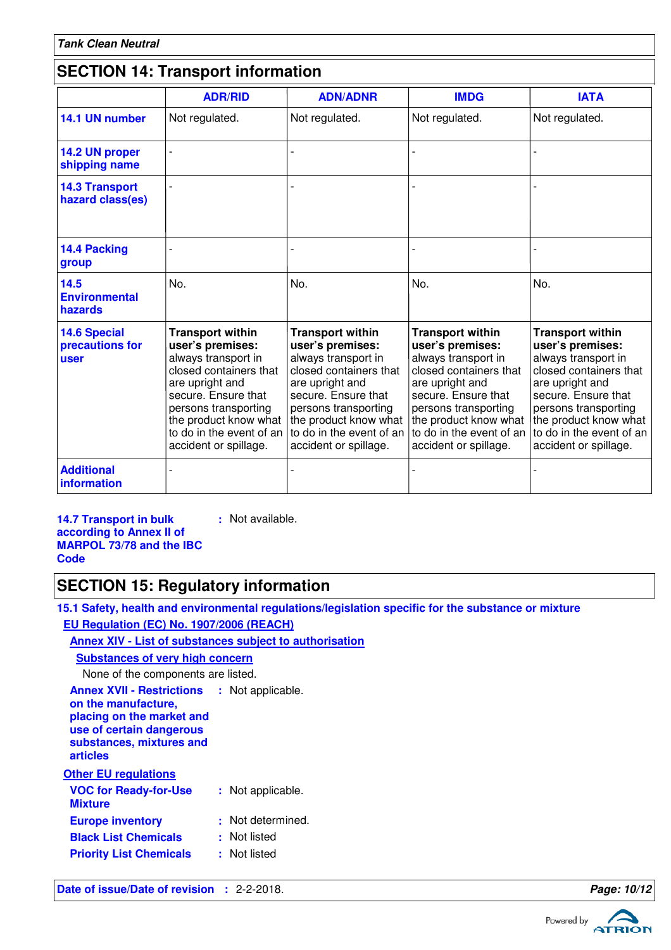# **SECTION 14: Transport information**

|                                                       | <b>ADR/RID</b>                                                                                                                                                                                                                               | <b>ADN/ADNR</b>                                                                                                                                                                                                                              | <b>IMDG</b>                                                                                                                                                                                                                                  | <b>IATA</b>                                                                                                                                                                                                                                  |
|-------------------------------------------------------|----------------------------------------------------------------------------------------------------------------------------------------------------------------------------------------------------------------------------------------------|----------------------------------------------------------------------------------------------------------------------------------------------------------------------------------------------------------------------------------------------|----------------------------------------------------------------------------------------------------------------------------------------------------------------------------------------------------------------------------------------------|----------------------------------------------------------------------------------------------------------------------------------------------------------------------------------------------------------------------------------------------|
| 14.1 UN number                                        | Not regulated.                                                                                                                                                                                                                               | Not regulated.                                                                                                                                                                                                                               | Not regulated.                                                                                                                                                                                                                               | Not regulated.                                                                                                                                                                                                                               |
| 14.2 UN proper<br>shipping name                       |                                                                                                                                                                                                                                              |                                                                                                                                                                                                                                              |                                                                                                                                                                                                                                              |                                                                                                                                                                                                                                              |
| <b>14.3 Transport</b><br>hazard class(es)             |                                                                                                                                                                                                                                              |                                                                                                                                                                                                                                              |                                                                                                                                                                                                                                              |                                                                                                                                                                                                                                              |
| 14.4 Packing<br>group                                 |                                                                                                                                                                                                                                              |                                                                                                                                                                                                                                              |                                                                                                                                                                                                                                              |                                                                                                                                                                                                                                              |
| 14.5<br><b>Environmental</b><br>hazards               | No.                                                                                                                                                                                                                                          | No.                                                                                                                                                                                                                                          | No.                                                                                                                                                                                                                                          | No.                                                                                                                                                                                                                                          |
| <b>14.6 Special</b><br>precautions for<br><b>user</b> | <b>Transport within</b><br>user's premises:<br>always transport in<br>closed containers that<br>are upright and<br>secure. Ensure that<br>persons transporting<br>the product know what<br>to do in the event of an<br>accident or spillage. | <b>Transport within</b><br>user's premises:<br>always transport in<br>closed containers that<br>are upright and<br>secure. Ensure that<br>persons transporting<br>the product know what<br>to do in the event of an<br>accident or spillage. | <b>Transport within</b><br>user's premises:<br>always transport in<br>closed containers that<br>are upright and<br>secure. Ensure that<br>persons transporting<br>the product know what<br>to do in the event of an<br>accident or spillage. | <b>Transport within</b><br>user's premises:<br>always transport in<br>closed containers that<br>are upright and<br>secure. Ensure that<br>persons transporting<br>the product know what<br>to do in the event of an<br>accident or spillage. |
| <b>Additional</b><br><b>information</b>               |                                                                                                                                                                                                                                              |                                                                                                                                                                                                                                              |                                                                                                                                                                                                                                              |                                                                                                                                                                                                                                              |

**14.7 Transport in bulk according to Annex II of MARPOL 73/78 and the IBC Code**

### **SECTION 15: Regulatory information**

**15.1 Safety, health and environmental regulations/legislation specific for the substance or mixture EU Regulation (EC) No. 1907/2006 (REACH)**

### **Annex XIV - List of substances subject to authorisation**

**:** Not available.

| <b>Substances of very high concern</b>                                                                                                                                     |                   |
|----------------------------------------------------------------------------------------------------------------------------------------------------------------------------|-------------------|
| None of the components are listed.                                                                                                                                         |                   |
| <b>Annex XVII - Restrictions : Not applicable.</b><br>on the manufacture,<br>placing on the market and<br>use of certain dangerous<br>substances, mixtures and<br>articles |                   |
| <b>Other EU regulations</b>                                                                                                                                                |                   |
| <b>VOC for Ready-for-Use</b><br><b>Mixture</b>                                                                                                                             | : Not applicable. |
| <b>Europe inventory</b>                                                                                                                                                    | : Not determined. |
| <b>Black List Chemicals</b>                                                                                                                                                | : Not listed      |
| <b>Priority List Chemicals</b>                                                                                                                                             | : Not listed      |
|                                                                                                                                                                            |                   |

**Date of issue/Date of revision :** 2-2-2018. **Page: 10/12 Page: 10/12** 

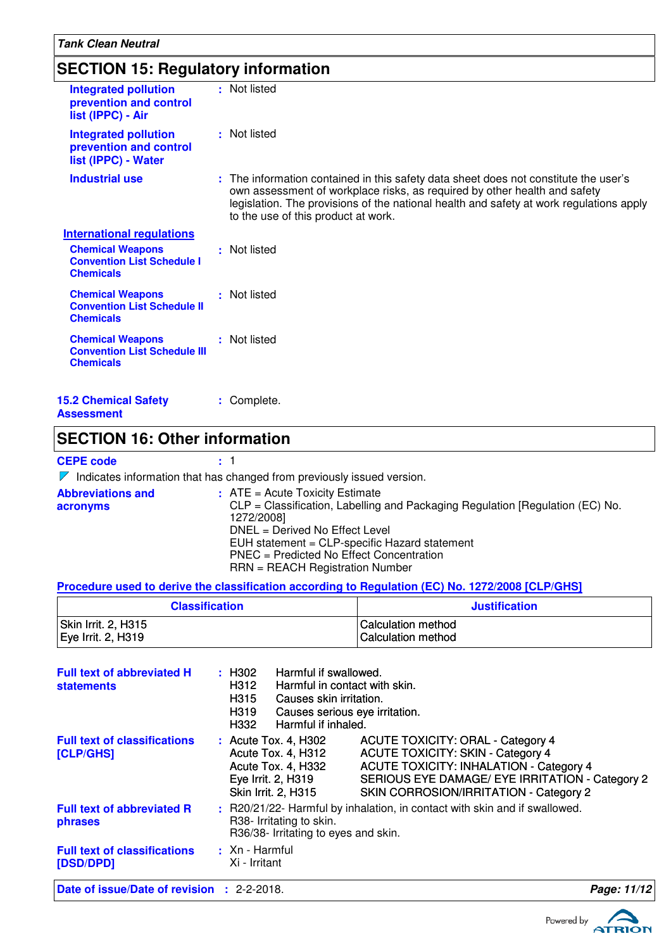| <b>SECTION 15: Regulatory information</b>                                          |                                                                                                                                                                                                                                                                                                     |  |  |
|------------------------------------------------------------------------------------|-----------------------------------------------------------------------------------------------------------------------------------------------------------------------------------------------------------------------------------------------------------------------------------------------------|--|--|
| <b>Integrated pollution</b><br>prevention and control<br>list (IPPC) - Air         | : Not listed                                                                                                                                                                                                                                                                                        |  |  |
| <b>Integrated pollution</b><br>prevention and control<br>list (IPPC) - Water       | : Not listed                                                                                                                                                                                                                                                                                        |  |  |
| <b>Industrial use</b>                                                              | : The information contained in this safety data sheet does not constitute the user's<br>own assessment of workplace risks, as required by other health and safety<br>legislation. The provisions of the national health and safety at work regulations apply<br>to the use of this product at work. |  |  |
| <b>International regulations</b>                                                   |                                                                                                                                                                                                                                                                                                     |  |  |
| <b>Chemical Weapons</b><br><b>Convention List Schedule I</b><br><b>Chemicals</b>   | : Not listed                                                                                                                                                                                                                                                                                        |  |  |
| <b>Chemical Weapons</b><br><b>Convention List Schedule II</b><br><b>Chemicals</b>  | : Not listed                                                                                                                                                                                                                                                                                        |  |  |
| <b>Chemical Weapons</b><br><b>Convention List Schedule III</b><br><b>Chemicals</b> | : Not listed                                                                                                                                                                                                                                                                                        |  |  |
| <b>15.2 Chemical Safety</b><br><b>Assessment</b>                                   | : Complete.                                                                                                                                                                                                                                                                                         |  |  |

# **SECTION 16: Other information**

**CEPE code :** 1

 $\nabla$  Indicates information that has changed from previously issued version.

| <b>Abbreviations and</b><br>acronyms | $\therefore$ ATE = Acute Toxicity Estimate<br>CLP = Classification, Labelling and Packaging Regulation [Regulation (EC) No.<br>1272/2008] |
|--------------------------------------|-------------------------------------------------------------------------------------------------------------------------------------------|
|                                      | DNEL = Derived No Effect Level                                                                                                            |
|                                      | EUH statement = CLP-specific Hazard statement                                                                                             |
|                                      | PNEC = Predicted No Effect Concentration                                                                                                  |
|                                      | $RRN = REACH$ Registration Number                                                                                                         |

### **Procedure used to derive the classification according to Regulation (EC) No. 1272/2008 [CLP/GHS]**

| <b>Classification</b> | <b>Justification</b>      |
|-----------------------|---------------------------|
| Skin Irrit. 2, H315   | I Calculation method      |
| Eye Irrit. 2, H319    | <b>Calculation method</b> |

| <b>Full text of abbreviated H</b><br><b>statements</b> | : H302<br>H312<br>H315<br>H319<br>H332 | Harmful if swallowed.<br>Harmful in contact with skin.<br>Causes skin irritation.<br>Causes serious eye irritation.<br>Harmful if inhaled. |                                                                                                                                                                                                                                     |             |
|--------------------------------------------------------|----------------------------------------|--------------------------------------------------------------------------------------------------------------------------------------------|-------------------------------------------------------------------------------------------------------------------------------------------------------------------------------------------------------------------------------------|-------------|
| <b>Full text of classifications</b><br>[CLP/GHS]       |                                        | : Acute Tox. 4, H302<br>Acute Tox. 4, H312<br>Acute Tox. 4, H332<br>Eye Irrit. 2, H319<br>Skin Irrit. 2, H315                              | <b>ACUTE TOXICITY: ORAL - Category 4</b><br><b>ACUTE TOXICITY: SKIN - Category 4</b><br><b>ACUTE TOXICITY: INHALATION - Category 4</b><br>SERIOUS EYE DAMAGE/ EYE IRRITATION - Category 2<br>SKIN CORROSION/IRRITATION - Category 2 |             |
| <b>Full text of abbreviated R</b><br>phrases           |                                        | R38- Irritating to skin.<br>R36/38- Irritating to eyes and skin.                                                                           | : R20/21/22- Harmful by inhalation, in contact with skin and if swallowed.                                                                                                                                                          |             |
| <b>Full text of classifications</b><br>[DSD/DPD]       | $\pm$ Xn - Harmful<br>Xi - Irritant    |                                                                                                                                            |                                                                                                                                                                                                                                     |             |
| Date of issue/Date of revision : 2-2-2018.             |                                        |                                                                                                                                            |                                                                                                                                                                                                                                     | Page: 11/12 |